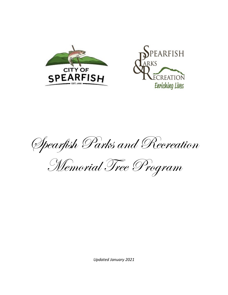



Spearfish Parks and Recreation

Memorial Tree Program

*Updated January 2021*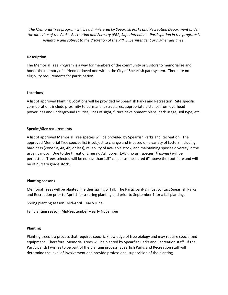*The Memorial Tree program will be administered by Spearfish Parks and Recreation Department under the direction of the Parks, Recreation and Forestry (PRF) Superintendent. Participation in the program is voluntary and subject to the discretion of the PRF Superintendent or his/her designee.* 

# **Description**

The Memorial Tree Program is a way for members of the community or visitors to memorialize and honor the memory of a friend or loved one within the City of Spearfish park system. There are no eligibility requirements for participation.

# **Locations**

A list of approved Planting Locations will be provided by Spearfish Parks and Recreation. Site specific considerations include proximity to permanent structures, appropriate distance from overhead powerlines and underground utilities, lines of sight, future development plans, park usage, soil type, etc.

# **Species/Size requirements**

A list of approved Memorial Tree species will be provided by Spearfish Parks and Recreation. The approved Memorial Tree species list is subject to change and is based on a variety of factors including hardiness (Zone 5a, 4a, 4b, or less), reliability of available stock, and maintaining species diversity in the urban canopy. Due to the threat of Emerald Ash Borer (EAB), no ash species (*Fraxinus*) will be permitted. Trees selected will be no less than 1.5" caliper as measured 6" above the root flare and will be of nursery grade stock.

## **Planting seasons**

Memorial Trees will be planted in either spring or fall. The Participant(s) must contact Spearfish Parks and Recreation prior to April 1 for a spring planting and prior to September 1 for a fall planting.

Spring planting season: Mid-April – early June

Fall planting season: Mid-September – early November

## **Planting**

Planting trees is a process that requires specific knowledge of tree biology and may require specialized equipment. Therefore, Memorial Trees will be planted by Spearfish Parks and Recreation staff. If the Participant(s) wishes to be part of the planting process, Spearfish Parks and Recreation staff will determine the level of involvement and provide professional supervision of the planting.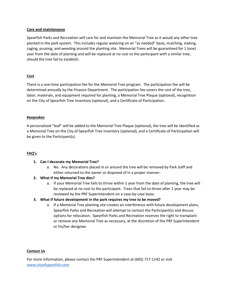## **Care and maintenance**

Spearfish Parks and Recreation will care for and maintain the Memorial Tree as it would any other tree planted in the park system. This includes regular watering on an "as needed" basis, mulching, staking, caging, pruning, and weeding around the planting site. Memorial Trees will be guaranteed for 1 (one) year from the date of planting and will be replaced at no cost to the participant with a similar tree, should the tree fail to establish.

# **Cost**

There is a one-time participation fee for the Memorial Tree program. The participation fee will be determined annually by the Finance Department. The participation fee covers the cost of the tree, labor, materials, and equipment required for planting, a Memorial Tree Plaque (optional), recognition on the City of Spearfish Tree Inventory (optional), and a Certificate of Participation.

## **Keepsakes**

A personalized "leaf" will be added to the Memorial Tree Plaque (optional), the tree will be identified as a Memorial Tree on the City of Spearfish Tree Inventory (optional), and a Certificate of Participation will be given to the Participant(s).

# **FAQ's**

## **1. Can I decorate my Memorial Tree?**

a. No. Any decorations placed in or around the tree will be removed by Park staff and either returned to the owner or disposed of in a proper manner.

# **2. What if my Memorial Tree dies?**

a. If your Memorial Tree fails to thrive within 1 year from the date of planting, the tree will be replaced at no cost to the participant. Trees that fail to thrive after 1 year may be reviewed by the PRF Superintendent on a case-by-case basis.

# **3. What if future development in the park requires my tree to be moved?**

a. If a Memorial Tree planting site creates an interference with future development plans, Spearfish Parks and Recreation will attempt to contact the Participant(s) and discuss options for relocation. Spearfish Parks and Recreation reserves the right to transplant or remove any Memorial Tree as necessary, at the discretion of the PRF Superintendent or his/her designee.

## **Contact Us**

For more information, please contact the PRF Superintendent at (605) 717-1142 or visit [www.cityofspearfish.com](http://www.cityofspearfish.com/)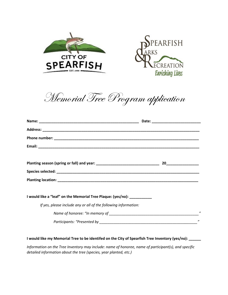



Memorial Tree Program application

| I would like a "leaf" on the Memorial Tree Plaque: (yes/no): ___________ |                             |
|--------------------------------------------------------------------------|-----------------------------|
| If yes, please include any or all of the following information:          |                             |
|                                                                          | $^{\prime\prime}$           |
|                                                                          | $\boldsymbol{\prime\prime}$ |

**I would like my Memorial Tree to be identifed on the City of Spearfish Tree Inventory (yes/no): \_\_\_\_\_\_**

*Information on the Tree Inventory may include: name of honoree, name of participant(s), and specific detailed information about the tree (species, year planted, etc.)*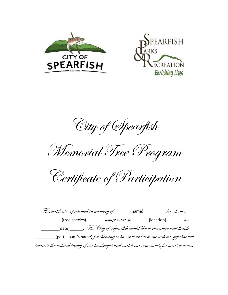



City of Spearfish

Memorial Tree Program

Certificate of Participation

This certificate is presented in memory of \_\_\_\_\_\_\_ (name) \_\_\_\_\_\_\_\_\_, for whom a  $_1$ (tree species)\_\_\_\_\_\_\_\_ was planted at \_\_\_\_\_\_\_(location) \_\_\_\_\_\_\_\_ on  $\_$ (date)\_\_\_\_\_\_. The "City of Spearfish would like to recognize and thank  $\Delta$  (participant's name) for choosing to honor their loved one with this gift that will increase the natural beauty of our landscapes and enrich our community for years to come.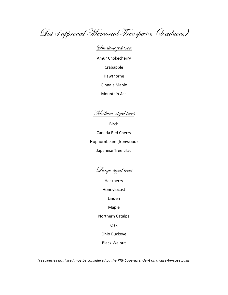List of approved Memorial Tree species (deciduous)

Small-sized trees

Amur Chokecherry Crabapple Hawthorne Ginnala Maple Mountain Ash

Medium-sized trees

Birch Canada Red Cherry Hophornbeam (Ironwood) Japanese Tree Lilac

Large-sized trees

Hackberry

Honeylocust

Linden

Maple

Northern Catalpa

Oak

Ohio Buckeye

Black Walnut

*Tree species not listed may be considered by the PRF Superintendent on a case-by-case basis.*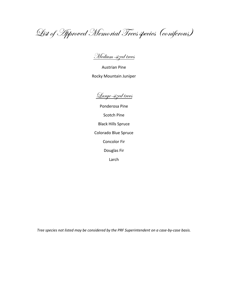List of Approved Memorial Trees species (coniferous)

Medium-sized trees

Austrian Pine Rocky Mountain Juniper

Large-sized trees

Ponderosa Pine Scotch Pine Black Hills Spruce Colorado Blue Spruce Concolor Fir Douglas Fir Larch

*Tree species not listed may be considered by the PRF Superintendent on a case-by-case basis.*